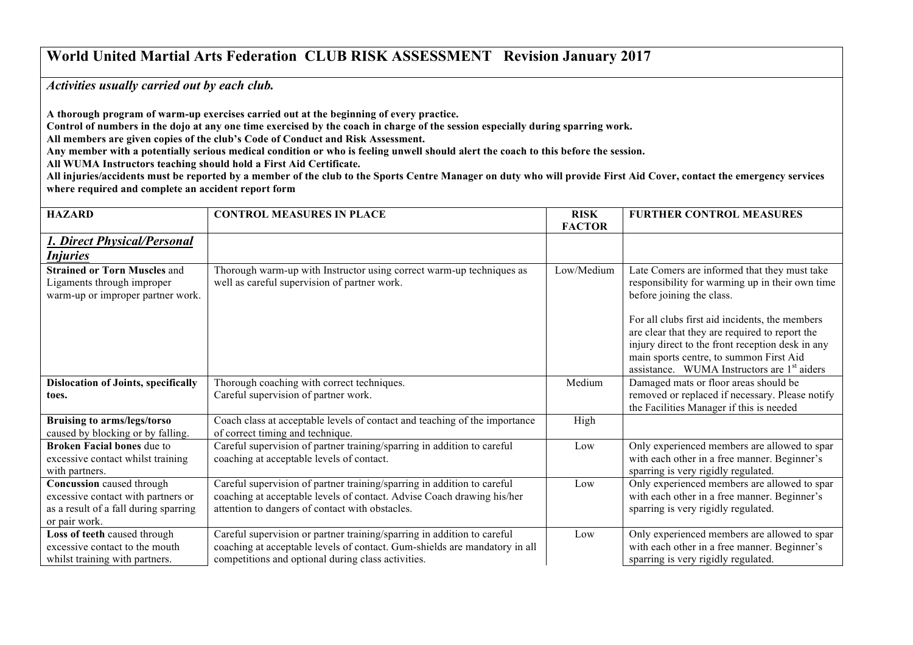## **World United Martial Arts Federation CLUB RISK ASSESSMENT Revision January 2017**

*Activities usually carried out by each club.* 

**A thorough program of warm-up exercises carried out at the beginning of every practice.** 

**Control of numbers in the dojo at any one time exercised by the coach in charge of the session especially during sparring work.** 

**All members are given copies of the club's Code of Conduct and Risk Assessment.**

**Any member with a potentially serious medical condition or who is feeling unwell should alert the coach to this before the session.**

**All WUMA Instructors teaching should hold a First Aid Certificate.**

**All injuries/accidents must be reported by a member of the club to the Sports Centre Manager on duty who will provide First Aid Cover, contact the emergency services where required and complete an accident report form** 

| <b>HAZARD</b>                                                                                                             | <b>CONTROL MEASURES IN PLACE</b>                                                                                                                                                                            | <b>RISK</b><br><b>FACTOR</b> | <b>FURTHER CONTROL MEASURES</b>                                                                                                                                                                                                                                                                                                                                                            |
|---------------------------------------------------------------------------------------------------------------------------|-------------------------------------------------------------------------------------------------------------------------------------------------------------------------------------------------------------|------------------------------|--------------------------------------------------------------------------------------------------------------------------------------------------------------------------------------------------------------------------------------------------------------------------------------------------------------------------------------------------------------------------------------------|
| 1. Direct Physical/Personal<br><i>Injuries</i>                                                                            |                                                                                                                                                                                                             |                              |                                                                                                                                                                                                                                                                                                                                                                                            |
| <b>Strained or Torn Muscles and</b><br>Ligaments through improper<br>warm-up or improper partner work.                    | Thorough warm-up with Instructor using correct warm-up techniques as<br>well as careful supervision of partner work.                                                                                        | Low/Medium                   | Late Comers are informed that they must take<br>responsibility for warming up in their own time<br>before joining the class.<br>For all clubs first aid incidents, the members<br>are clear that they are required to report the<br>injury direct to the front reception desk in any<br>main sports centre, to summon First Aid<br>assistance. WUMA Instructors are 1 <sup>st</sup> aiders |
| <b>Dislocation of Joints, specifically</b><br>toes.                                                                       | Thorough coaching with correct techniques.<br>Careful supervision of partner work.                                                                                                                          | Medium                       | Damaged mats or floor areas should be<br>removed or replaced if necessary. Please notify<br>the Facilities Manager if this is needed                                                                                                                                                                                                                                                       |
| <b>Bruising to arms/legs/torso</b><br>caused by blocking or by falling.                                                   | Coach class at acceptable levels of contact and teaching of the importance<br>of correct timing and technique.                                                                                              | High                         |                                                                                                                                                                                                                                                                                                                                                                                            |
| <b>Broken Facial bones due to</b><br>excessive contact whilst training<br>with partners.                                  | Careful supervision of partner training/sparring in addition to careful<br>coaching at acceptable levels of contact.                                                                                        | Low                          | Only experienced members are allowed to spar<br>with each other in a free manner. Beginner's<br>sparring is very rigidly regulated.                                                                                                                                                                                                                                                        |
| Concussion caused through<br>excessive contact with partners or<br>as a result of a fall during sparring<br>or pair work. | Careful supervision of partner training/sparring in addition to careful<br>coaching at acceptable levels of contact. Advise Coach drawing his/her<br>attention to dangers of contact with obstacles.        | Low                          | Only experienced members are allowed to spar<br>with each other in a free manner. Beginner's<br>sparring is very rigidly regulated.                                                                                                                                                                                                                                                        |
| Loss of teeth caused through<br>excessive contact to the mouth<br>whilst training with partners.                          | Careful supervision or partner training/sparring in addition to careful<br>coaching at acceptable levels of contact. Gum-shields are mandatory in all<br>competitions and optional during class activities. | Low                          | Only experienced members are allowed to spar<br>with each other in a free manner. Beginner's<br>sparring is very rigidly regulated.                                                                                                                                                                                                                                                        |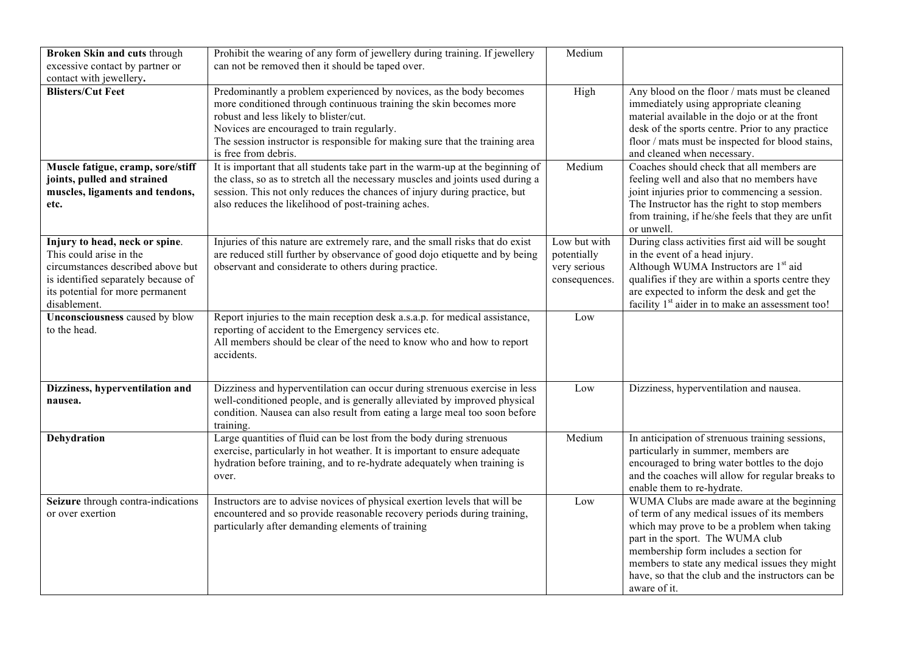| Broken Skin and cuts through<br>excessive contact by partner or<br>contact with jewellery.                                                                                                | Prohibit the wearing of any form of jewellery during training. If jewellery<br>can not be removed then it should be taped over.                                                                                                                                                                                                           | Medium                                                       |                                                                                                                                                                                                                                                                                                                                                |
|-------------------------------------------------------------------------------------------------------------------------------------------------------------------------------------------|-------------------------------------------------------------------------------------------------------------------------------------------------------------------------------------------------------------------------------------------------------------------------------------------------------------------------------------------|--------------------------------------------------------------|------------------------------------------------------------------------------------------------------------------------------------------------------------------------------------------------------------------------------------------------------------------------------------------------------------------------------------------------|
| <b>Blisters/Cut Feet</b>                                                                                                                                                                  | Predominantly a problem experienced by novices, as the body becomes<br>more conditioned through continuous training the skin becomes more<br>robust and less likely to blister/cut.<br>Novices are encouraged to train regularly.<br>The session instructor is responsible for making sure that the training area<br>is free from debris. | High                                                         | Any blood on the floor / mats must be cleaned<br>immediately using appropriate cleaning<br>material available in the dojo or at the front<br>desk of the sports centre. Prior to any practice<br>floor / mats must be inspected for blood stains,<br>and cleaned when necessary.                                                               |
| Muscle fatigue, cramp, sore/stiff<br>joints, pulled and strained<br>muscles, ligaments and tendons,<br>etc.                                                                               | It is important that all students take part in the warm-up at the beginning of<br>the class, so as to stretch all the necessary muscles and joints used during a<br>session. This not only reduces the chances of injury during practice, but<br>also reduces the likelihood of post-training aches.                                      | Medium                                                       | Coaches should check that all members are<br>feeling well and also that no members have<br>joint injuries prior to commencing a session.<br>The Instructor has the right to stop members<br>from training, if he/she feels that they are unfit<br>or unwell.                                                                                   |
| Injury to head, neck or spine.<br>This could arise in the<br>circumstances described above but<br>is identified separately because of<br>its potential for more permanent<br>disablement. | Injuries of this nature are extremely rare, and the small risks that do exist<br>are reduced still further by observance of good dojo etiquette and by being<br>observant and considerate to others during practice.                                                                                                                      | Low but with<br>potentially<br>very serious<br>consequences. | During class activities first aid will be sought<br>in the event of a head injury.<br>Although WUMA Instructors are 1 <sup>st</sup> aid<br>qualifies if they are within a sports centre they<br>are expected to inform the desk and get the<br>facility 1 <sup>st</sup> aider in to make an assessment too!                                    |
| <b>Unconsciousness caused by blow</b><br>to the head.                                                                                                                                     | Report injuries to the main reception desk a.s.a.p. for medical assistance,<br>reporting of accident to the Emergency services etc.<br>All members should be clear of the need to know who and how to report<br>accidents.                                                                                                                | Low                                                          |                                                                                                                                                                                                                                                                                                                                                |
| Dizziness, hyperventilation and<br>nausea.                                                                                                                                                | Dizziness and hyperventilation can occur during strenuous exercise in less<br>well-conditioned people, and is generally alleviated by improved physical<br>condition. Nausea can also result from eating a large meal too soon before<br>training.                                                                                        | Low                                                          | Dizziness, hyperventilation and nausea.                                                                                                                                                                                                                                                                                                        |
| Dehydration                                                                                                                                                                               | Large quantities of fluid can be lost from the body during strenuous<br>exercise, particularly in hot weather. It is important to ensure adequate<br>hydration before training, and to re-hydrate adequately when training is<br>over.                                                                                                    | Medium                                                       | In anticipation of strenuous training sessions,<br>particularly in summer, members are<br>encouraged to bring water bottles to the dojo<br>and the coaches will allow for regular breaks to<br>enable them to re-hydrate.                                                                                                                      |
| Seizure through contra-indications<br>or over exertion                                                                                                                                    | Instructors are to advise novices of physical exertion levels that will be<br>encountered and so provide reasonable recovery periods during training,<br>particularly after demanding elements of training                                                                                                                                | Low                                                          | WUMA Clubs are made aware at the beginning<br>of term of any medical issues of its members<br>which may prove to be a problem when taking<br>part in the sport. The WUMA club<br>membership form includes a section for<br>members to state any medical issues they might<br>have, so that the club and the instructors can be<br>aware of it. |